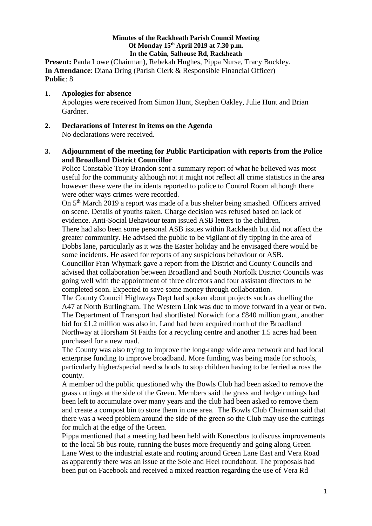#### **Minutes of the Rackheath Parish Council Meeting Of Monday 15 th April 2019 at 7.30 p.m. In the Cabin, Salhouse Rd, Rackheath**

**Present:** Paula Lowe (Chairman), Rebekah Hughes, Pippa Nurse, Tracy Buckley. **In Attendance**: Diana Dring (Parish Clerk & Responsible Financial Officer) **Public**: 8

- **1. Apologies for absence**  Apologies were received from Simon Hunt, Stephen Oakley, Julie Hunt and Brian Gardner.
- **2. Declarations of Interest in items on the Agenda** No declarations were received.

## **3. Adjournment of the meeting for Public Participation with reports from the Police and Broadland District Councillor**

Police Constable Troy Brandon sent a summary report of what he believed was most useful for the community although not it might not reflect all crime statistics in the area however these were the incidents reported to police to Control Room although there were other ways crimes were recorded.

On 5<sup>th</sup> March 2019 a report was made of a bus shelter being smashed. Officers arrived on scene. Details of youths taken. Charge decision was refused based on lack of evidence. Anti-Social Behaviour team issued ASB letters to the children.

There had also been some personal ASB issues within Rackheath but did not affect the greater community. He advised the public to be vigilant of fly tipping in the area of Dobbs lane, particularly as it was the Easter holiday and he envisaged there would be some incidents. He asked for reports of any suspicious behaviour or ASB.

Councillor Fran Whymark gave a report from the District and County Councils and advised that collaboration between Broadland and South Norfolk District Councils was going well with the appointment of three directors and four assistant directors to be completed soon. Expected to save some money through collaboration.

The County Council Highways Dept had spoken about projects such as duelling the A47 at North Burlingham. The Western Link was due to move forward in a year or two. The Department of Transport had shortlisted Norwich for a £840 million grant, another bid for £1.2 million was also in. Land had been acquired north of the Broadland Northway at Horsham St Faiths for a recycling centre and another 1.5 acres had been purchased for a new road.

The County was also trying to improve the long-range wide area network and had local enterprise funding to improve broadband. More funding was being made for schools, particularly higher/special need schools to stop children having to be ferried across the county.

A member od the public questioned why the Bowls Club had been asked to remove the grass cuttings at the side of the Green. Members said the grass and hedge cuttings had been left to accumulate over many years and the club had been asked to remove them and create a compost bin to store them in one area. The Bowls Club Chairman said that there was a weed problem around the side of the green so the Club may use the cuttings for mulch at the edge of the Green.

Pippa mentioned that a meeting had been held with Konectbus to discuss improvements to the local 5b bus route, running the buses more frequently and going along Green Lane West to the industrial estate and routing around Green Lane East and Vera Road as apparently there was an issue at the Sole and Heel roundabout. The proposals had been put on Facebook and received a mixed reaction regarding the use of Vera Rd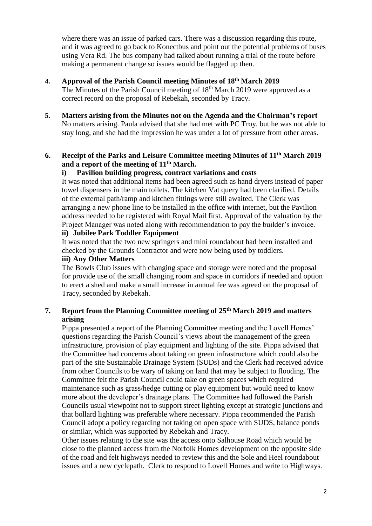where there was an issue of parked cars. There was a discussion regarding this route, and it was agreed to go back to Konectbus and point out the potential problems of buses using Vera Rd. The bus company had talked about running a trial of the route before making a permanent change so issues would be flagged up then.

# **4. Approval of the Parish Council meeting Minutes of 18th March 2019**

- The Minutes of the Parish Council meeting of 18th March 2019 were approved as a correct record on the proposal of Rebekah, seconded by Tracy.
- **5. Matters arising from the Minutes not on the Agenda and the Chairman's report** No matters arising. Paula advised that she had met with PC Troy, but he was not able to stay long, and she had the impression he was under a lot of pressure from other areas.

## **6. Receipt of the Parks and Leisure Committee meeting Minutes of 11th March 2019 and a report of the meeting of 11th March.**

### **i) Pavilion building progress, contract variations and costs**

It was noted that additional items had been agreed such as hand dryers instead of paper towel dispensers in the main toilets. The kitchen Vat query had been clarified. Details of the external path/ramp and kitchen fittings were still awaited. The Clerk was arranging a new phone line to be installed in the office with internet, but the Pavilion address needed to be registered with Royal Mail first. Approval of the valuation by the Project Manager was noted along with recommendation to pay the builder's invoice.

#### **ii) Jubilee Park Toddler Equipment**

It was noted that the two new springers and mini roundabout had been installed and checked by the Grounds Contractor and were now being used by toddlers.

## **iii) Any Other Matters**

The Bowls Club issues with changing space and storage were noted and the proposal for provide use of the small changing room and space in corridors if needed and option to erect a shed and make a small increase in annual fee was agreed on the proposal of Tracy, seconded by Rebekah.

## **7. Report from the Planning Committee meeting of 25th March 2019 and matters arising**

Pippa presented a report of the Planning Committee meeting and the Lovell Homes' questions regarding the Parish Council's views about the management of the green infrastructure, provision of play equipment and lighting of the site. Pippa advised that the Committee had concerns about taking on green infrastructure which could also be part of the site Sustainable Drainage System (SUDs) and the Clerk had received advice from other Councils to be wary of taking on land that may be subject to flooding. The Committee felt the Parish Council could take on green spaces which required maintenance such as grass/hedge cutting or play equipment but would need to know more about the developer's drainage plans. The Committee had followed the Parish Councils usual viewpoint not to support street lighting except at strategic junctions and that bollard lighting was preferable where necessary. Pippa recommended the Parish Council adopt a policy regarding not taking on open space with SUDS, balance ponds or similar, which was supported by Rebekah and Tracy.

Other issues relating to the site was the access onto Salhouse Road which would be close to the planned access from the Norfolk Homes development on the opposite side of the road and felt highways needed to review this and the Sole and Heel roundabout issues and a new cyclepath. Clerk to respond to Lovell Homes and write to Highways.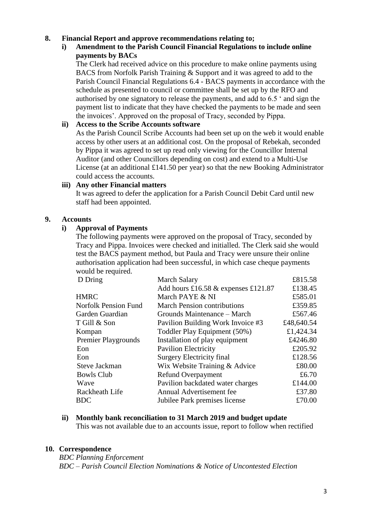#### **8. Financial Report and approve recommendations relating to;**

## **i) Amendment to the Parish Council Financial Regulations to include online payments by BACs**

The Clerk had received advice on this procedure to make online payments using BACS from Norfolk Parish Training & Support and it was agreed to add to the Parish Council Financial Regulations 6.4 - BACS payments in accordance with the schedule as presented to council or committee shall be set up by the RFO and authorised by one signatory to release the payments, and add to 6.5 ' and sign the payment list to indicate that they have checked the payments to be made and seen the invoices'. Approved on the proposal of Tracy, seconded by Pippa.

#### **ii) Access to the Scribe Accounts software**

As the Parish Council Scribe Accounts had been set up on the web it would enable access by other users at an additional cost. On the proposal of Rebekah, seconded by Pippa it was agreed to set up read only viewing for the Councillor Internal Auditor (and other Councillors depending on cost) and extend to a Multi-Use License (at an additional £141.50 per year) so that the new Booking Administrator could access the accounts.

#### **iii) Any other Financial matters**

It was agreed to defer the application for a Parish Council Debit Card until new staff had been appointed.

#### **9. Accounts**

## **i) Approval of Payments**

The following payments were approved on the proposal of Tracy, seconded by Tracy and Pippa. Invoices were checked and initialled. The Clerk said she would test the BACS payment method, but Paula and Tracy were unsure their online authorisation application had been successful, in which case cheque payments would be required.

| D Dring                     | <b>March Salary</b>                   | £815.58    |
|-----------------------------|---------------------------------------|------------|
|                             | Add hours £16.58 $&$ expenses £121.87 | £138.45    |
| <b>HMRC</b>                 | March PAYE & NI                       | £585.01    |
| <b>Norfolk Pension Fund</b> | <b>March Pension contributions</b>    | £359.85    |
| Garden Guardian             | Grounds Maintenance – March           | £567.46    |
| T Gill & Son                | Pavilion Building Work Invoice #3     | £48,640.54 |
| Kompan                      | Toddler Play Equipment (50%)          | £1,424.34  |
| Premier Playgrounds         | Installation of play equipment        | £4246.80   |
| Eon                         | <b>Pavilion Electricity</b>           | £205.92    |
| Eon                         | <b>Surgery Electricity final</b>      | £128.56    |
| <b>Steve Jackman</b>        | Wix Website Training & Advice         | £80.00     |
| <b>Bowls Club</b>           | Refund Overpayment                    | £6.70      |
| Wave                        | Pavilion backdated water charges      | £144.00    |
| Rackheath Life              | Annual Advertisement fee              | £37.80     |
| <b>BDC</b>                  | Jubilee Park premises license         | £70.00     |
|                             |                                       |            |

#### **ii) Monthly bank reconciliation to 31 March 2019 and budget update**

This was not available due to an accounts issue, report to follow when rectified

#### **10. Correspondence**

*BDC Planning Enforcement BDC – Parish Council Election Nominations & Notice of Uncontested Election*